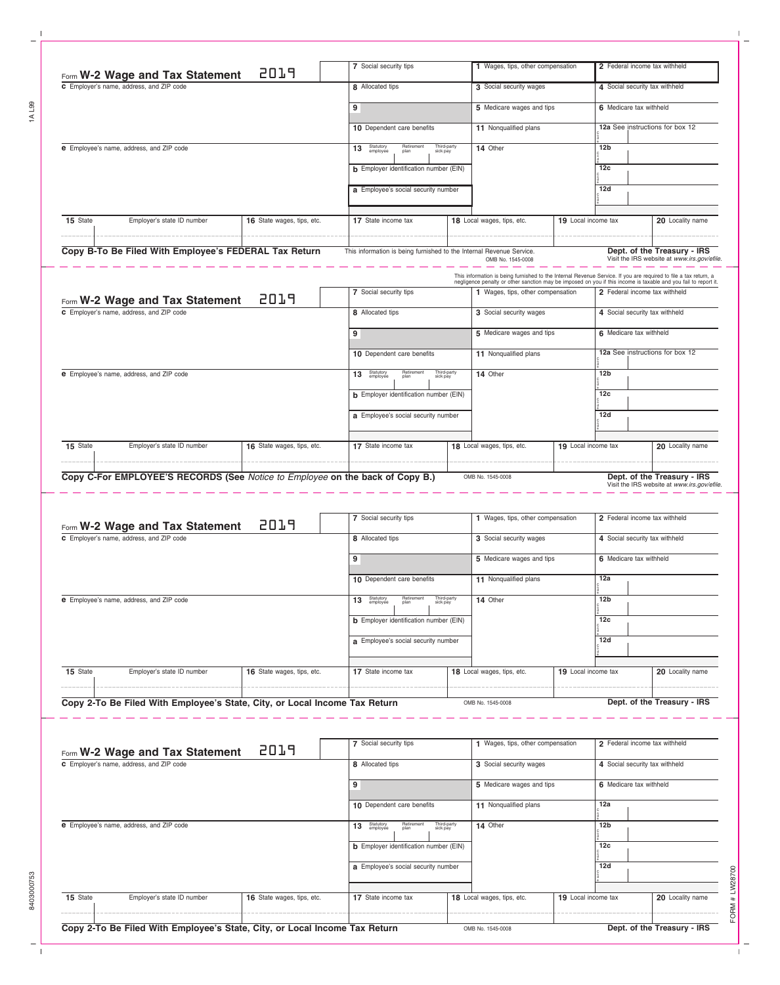| Form W-2 Wage and Tax Statement          | 2019                       | 7 Social security tips                        |                         | 1 Wages, tips, other compensation                                                                                                                                                                                                                                        |  | 2 Federal income tax withheld  |                                 |
|------------------------------------------|----------------------------|-----------------------------------------------|-------------------------|--------------------------------------------------------------------------------------------------------------------------------------------------------------------------------------------------------------------------------------------------------------------------|--|--------------------------------|---------------------------------|
| C Employer's name, address, and ZIP code |                            | 8 Allocated tips                              |                         | 3 Social security wages                                                                                                                                                                                                                                                  |  | 4 Social security tax withheld |                                 |
|                                          |                            | 9                                             |                         | 5 Medicare wages and tips                                                                                                                                                                                                                                                |  | 6 Medicare tax withheld        |                                 |
|                                          |                            | 10 Dependent care benefits                    |                         | 11 Nonqualified plans                                                                                                                                                                                                                                                    |  |                                | 12a See instructions for box 12 |
| e Employee's name, address, and ZIP code |                            | 13 Statutory<br>Retirement<br>plan            | Third-party<br>sick pay | 14 Other                                                                                                                                                                                                                                                                 |  | 12 <sub>b</sub>                |                                 |
|                                          |                            | <b>b</b> Employer identification number (EIN) |                         |                                                                                                                                                                                                                                                                          |  | 12 <sub>c</sub>                |                                 |
|                                          |                            | a Employee's social security number           |                         |                                                                                                                                                                                                                                                                          |  | 12d                            |                                 |
| 15 State<br>Employer's state ID number   | 16 State wages, tips, etc. | 17 State income tax                           |                         | 18 Local wages, tips, etc.                                                                                                                                                                                                                                               |  | 19 Local income tax            | 20 Locality name                |
| Form W-2 Wage and Tax Statement          | 2019                       | 7 Social security tips                        |                         | This information is being furnished to the Internal Revenue Service. If you are required to file a tax return, a<br>negligence penalty or other sanction may be imposed on you if this income is taxable and you fail to report it.<br>1 Wages, tips, other compensation |  | 2 Federal income tax withheld  |                                 |
| C Employer's name, address, and ZIP code |                            | 8 Allocated tips                              |                         | 3 Social security wages                                                                                                                                                                                                                                                  |  | 4 Social security tax withheld |                                 |
|                                          |                            | 9                                             |                         | 5 Medicare wages and tips                                                                                                                                                                                                                                                |  | 6 Medicare tax withheld        |                                 |
|                                          |                            | 10 Dependent care benefits                    |                         | 11 Nonqualified plans                                                                                                                                                                                                                                                    |  |                                | 12a See instructions for box 12 |
| e Employee's name, address, and ZIP code |                            | Retirement<br>plan<br>13 Statutory            | Third-party<br>sick pay | 14 Other                                                                                                                                                                                                                                                                 |  | 12 <sub>b</sub>                |                                 |
|                                          |                            | <b>b</b> Employer identification number (EIN) |                         |                                                                                                                                                                                                                                                                          |  | 12 <sub>c</sub>                |                                 |
|                                          |                            | a Employee's social security number           |                         |                                                                                                                                                                                                                                                                          |  | 12d                            |                                 |
| 15 State<br>Employer's state ID number   | 16 State wages, tips, etc. | 17 State income tax                           |                         | 18 Local wages, tips, etc.                                                                                                                                                                                                                                               |  | 19 Local income tax            | 20 Locality name                |
|                                          |                            |                                               |                         |                                                                                                                                                                                                                                                                          |  |                                |                                 |

|                                                                                      | Form W-2 Wage and Tax Statement                                            | 2019                                                                                                                                                                 | 7 Social security tips     | 1 Wages, tips, other compensation         | 2 Federal income tax withheld           |
|--------------------------------------------------------------------------------------|----------------------------------------------------------------------------|----------------------------------------------------------------------------------------------------------------------------------------------------------------------|----------------------------|-------------------------------------------|-----------------------------------------|
| C Employer's name, address, and ZIP code<br>e Employee's name, address, and ZIP code |                                                                            |                                                                                                                                                                      | 8 Allocated tips           | 3 Social security wages                   | 4 Social security tax withheld          |
|                                                                                      |                                                                            |                                                                                                                                                                      | 9                          | 5 Medicare wages and tips                 | 6 Medicare tax withheld                 |
|                                                                                      |                                                                            |                                                                                                                                                                      | 10 Dependent care benefits | 11 Nonqualified plans                     | 12a                                     |
|                                                                                      |                                                                            | Retirement<br>plan<br>Third-party<br>sick pay<br>Statutory<br>employee<br>13<br><b>b</b> Employer identification number (EIN)<br>a Employee's social security number | 14 Other                   | 12 <sub>b</sub><br>12 <sub>c</sub><br>12d |                                         |
| 15 State                                                                             | Employer's state ID number                                                 | 16 State wages, tips, etc.                                                                                                                                           | 17 State income tax        | 18 Local wages, tips, etc.                | 20 Locality name<br>19 Local income tax |
|                                                                                      | Copy 2-To Be Filed With Employee's State, City, or Local Income Tax Return |                                                                                                                                                                      |                            | OMB No. 1545-0008                         | Dept. of the Treasury - IRS             |

|                                          | Form W-2 Wage and Tax Statement                                            | 2019                                                                                                                                                                 | 7 Social security tips     | 1 Wages, tips, other compensation | 2 Federal income tax withheld           |
|------------------------------------------|----------------------------------------------------------------------------|----------------------------------------------------------------------------------------------------------------------------------------------------------------------|----------------------------|-----------------------------------|-----------------------------------------|
| C Employer's name, address, and ZIP code |                                                                            |                                                                                                                                                                      | 8 Allocated tips           | 3 Social security wages           | 4 Social security tax withheld          |
|                                          |                                                                            |                                                                                                                                                                      |                            | 5 Medicare wages and tips         | 6 Medicare tax withheld                 |
|                                          |                                                                            |                                                                                                                                                                      | 10 Dependent care benefits | 11 Nonqualified plans             | 12a                                     |
| e Employee's name, address, and ZIP code |                                                                            | Statutory<br>employee<br>Retirement<br>plan<br>Third-party<br>sick pay<br>13<br><b>b</b> Employer identification number (EIN)<br>a Employee's social security number | 14 Other                   | 12 <sub>b</sub><br>12c<br>12d     |                                         |
| 15 State                                 | Employer's state ID number                                                 | 16 State wages, tips, etc.                                                                                                                                           | 17 State income tax        | 18 Local wages, tips, etc.        | 20 Locality name<br>19 Local income tax |
|                                          | Copy 2-To Be Filed With Employee's State, City, or Local Income Tax Return |                                                                                                                                                                      |                            | OMB No. 1545-0008                 | Dept. of the Treasury - IRS             |

 $\frac{1}{\sqrt{2}}$ 

1AL99

 $\mathbf{I}$